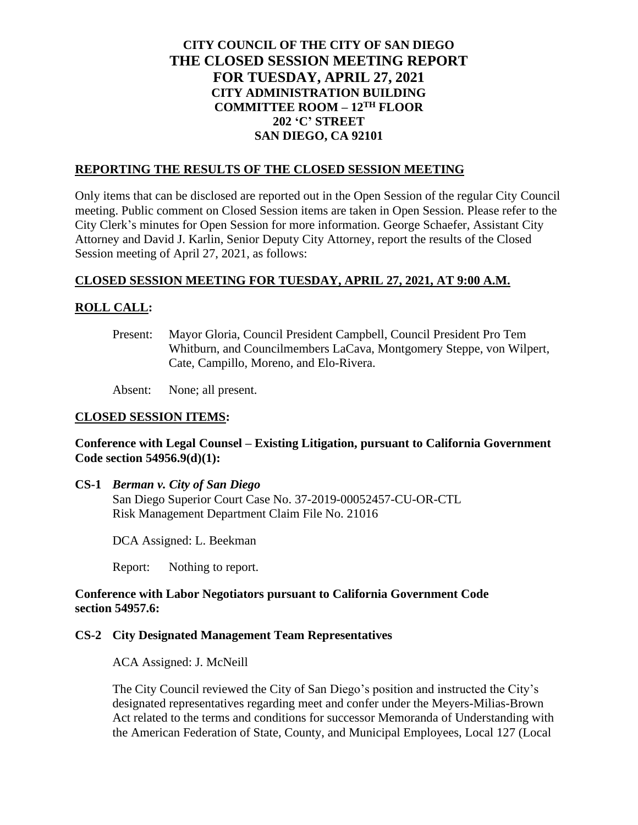# **CITY COUNCIL OF THE CITY OF SAN DIEGO THE CLOSED SESSION MEETING REPORT FOR TUESDAY, APRIL 27, 2021 CITY ADMINISTRATION BUILDING COMMITTEE ROOM – 12TH FLOOR 202 'C' STREET SAN DIEGO, CA 92101**

# **REPORTING THE RESULTS OF THE CLOSED SESSION MEETING**

Only items that can be disclosed are reported out in the Open Session of the regular City Council meeting. Public comment on Closed Session items are taken in Open Session. Please refer to the City Clerk's minutes for Open Session for more information. George Schaefer, Assistant City Attorney and David J. Karlin, Senior Deputy City Attorney, report the results of the Closed Session meeting of April 27, 2021, as follows:

### **CLOSED SESSION MEETING FOR TUESDAY, APRIL 27, 2021, AT 9:00 A.M.**

# **ROLL CALL:**

Present: Mayor Gloria, Council President Campbell, Council President Pro Tem Whitburn, and Councilmembers LaCava, Montgomery Steppe, von Wilpert, Cate, Campillo, Moreno, and Elo-Rivera.

Absent: None; all present.

#### **CLOSED SESSION ITEMS:**

# **Conference with Legal Counsel – Existing Litigation, pursuant to California Government Code section 54956.9(d)(1):**

**CS-1** *Berman v. City of San Diego*

San Diego Superior Court Case No. 37-2019-00052457-CU-OR-CTL Risk Management Department Claim File No. 21016

DCA Assigned: L. Beekman

Report: Nothing to report.

### **Conference with Labor Negotiators pursuant to California Government Code section 54957.6:**

### **CS-2 City Designated Management Team Representatives**

ACA Assigned: J. McNeill

The City Council reviewed the City of San Diego's position and instructed the City's designated representatives regarding meet and confer under the Meyers-Milias-Brown Act related to the terms and conditions for successor Memoranda of Understanding with the American Federation of State, County, and Municipal Employees, Local 127 (Local